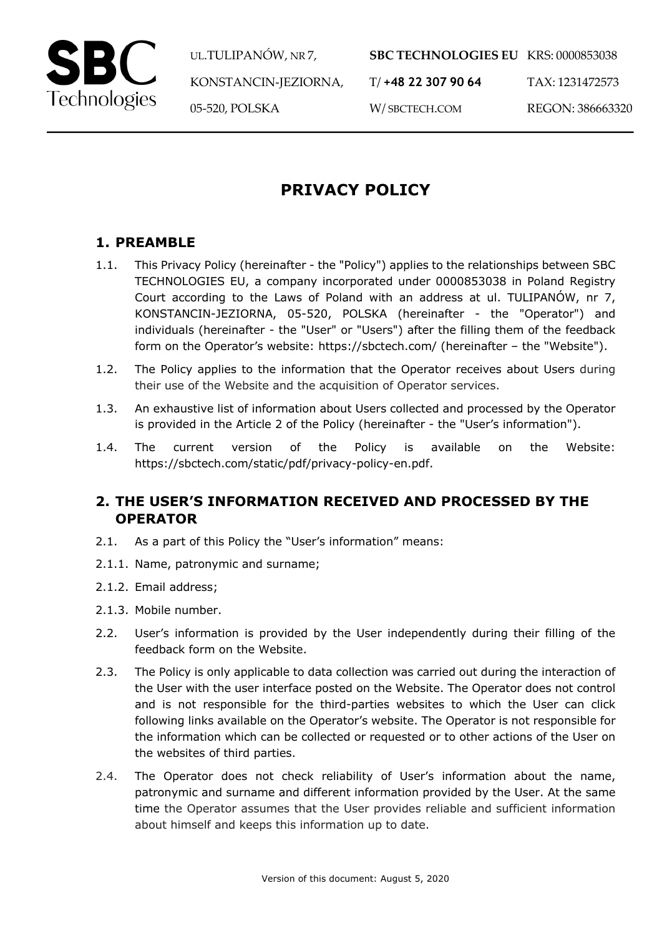

UL.TULIPANÓW, NR 7, KONSTANCIN-JEZIORNA, 05-520, POLSKA

# **PRIVACY POLICY**

#### **1. PREAMBLE**

- 1.1. This Privacy Policy (hereinafter the "Policy") applies to the relationships between SBC TECHNOLOGIES EU, a company incorporated under 0000853038 in Poland Registry Court according to the Laws of Poland with an address at ul. TULIPANÓW, nr 7, KONSTANCIN-JEZIORNA, 05-520, POLSKA (hereinafter - the "Operator") and individuals (hereinafter - the "User" or "Users") after the filling them of the feedback form on the Operator's website: https://sbctech.com/ (hereinafter – the "Website").
- 1.2. The Policy applies to the information that the Operator receives about Users during their use of the Website and the acquisition of Operator services.
- 1.3. An exhaustive list of information about Users collected and processed by the Operator is provided in the Article 2 of the Policy (hereinafter - the "User's information").
- 1.4. The current version of the Policy is available on the Website: https://sbctech.com/static/pdf/privacy-policy-en.pdf.

## **2. THE USER'S INFORMATION RECEIVED AND PROCESSED BY THE OPERATOR**

- 2.1. As a part of this Policy the "User's information" means:
- 2.1.1. Name, patronymic and surname;
- 2.1.2. Email address;
- 2.1.3. Mobile number.
- 2.2. User's information is provided by the User independently during their filling of the feedback form on the Website.
- 2.3. The Policy is only applicable to data collection was carried out during the interaction of the User with the user interface posted on the Website. The Operator does not control and is not responsible for the third-parties websites to which the User can click following links available on the Operator's website. The Operator is not responsible for the information which can be collected or requested or to other actions of the User on the websites of third parties.
- 2.4. The Operator does not check reliability of User's information about the name, patronymic and surname and different information provided by the User. At the same time the Operator assumes that the User provides reliable and sufficient information about himself and keeps this information up to date.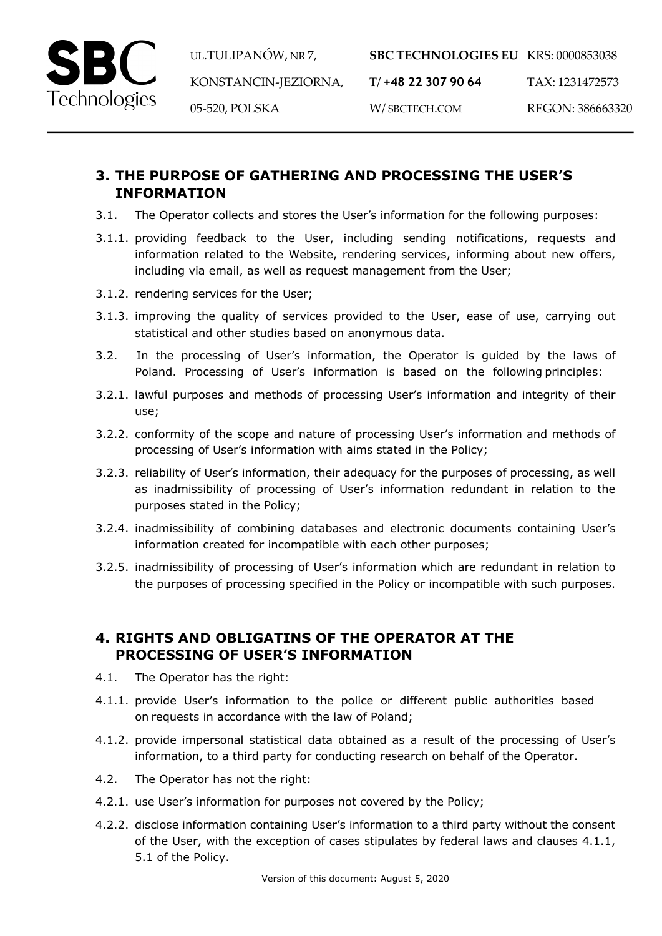

UL.TULIPANÓW, NR 7,<br>KONSTANCIN-JEZIORNA, 05-520, POLSKA

# **3. THE PURPOSE OF GATHERING AND PROCESSING THE USER'S INFORMATION**

- 3.1. The Operator collects and stores the User's information for the following purposes:
- 3.1.1. providing feedback to the User, including sending notifications, requests and information related to the Website, rendering services, informing about new offers, including via email, as well as request management from the User;
- 3.1.2. rendering services for the User;
- 3.1.3. improving the quality of services provided to the User, ease of use, carrying out statistical and other studies based on anonymous data.
- 3.2. In the processing of User's information, the Operator is guided by the laws of Poland. Processing of User's information is based on the following principles:
- 3.2.1. lawful purposes and methods of processing User's information and integrity of their use;
- 3.2.2. conformity of the scope and nature of processing User's information and methods of processing of User's information with aims stated in the Policy;
- 3.2.3. reliability of User's information, their adequacy for the purposes of processing, as well as inadmissibility of processing of User's information redundant in relation to the purposes stated in the Policy;
- 3.2.4. inadmissibility of combining databases and electronic documents containing User's information created for incompatible with each other purposes;
- 3.2.5. inadmissibility of processing of User's information which are redundant in relation to the purposes of processing specified in the Policy or incompatible with such purposes.

## **4. RIGHTS AND OBLIGATINS OF THE OPERATOR AT THE PROCESSING OF USER'S INFORMATION**

- 4.1. The Operator has the right:
- 4.1.1. provide User's information to the police or different public authorities based on requests in accordance with the law of Poland;
- 4.1.2. provide impersonal statistical data obtained as a result of the processing of User's information, to a third party for conducting research on behalf of the Operator.
- 4.2. The Operator has not the right:
- 4.2.1. use User's information for purposes not covered by the Policy;
- 4.2.2. disclose information containing User's information to a third party without the consent of the User, with the exception of cases stipulates by federal laws and clauses 4.1.1, 5.1 of the Policy.